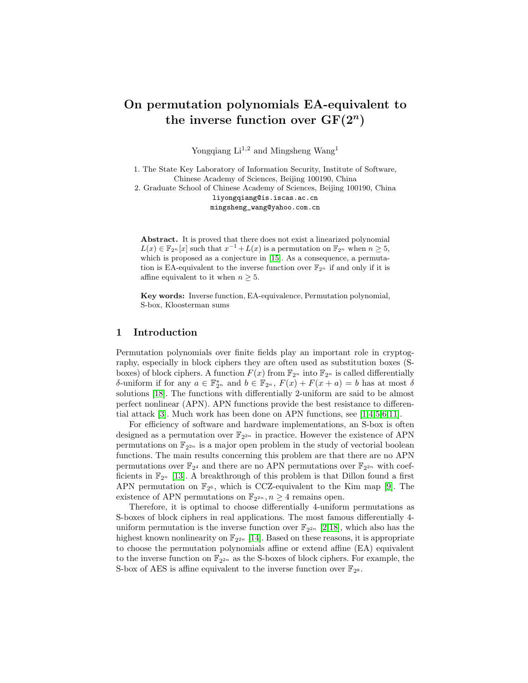# On permutation polynomials EA-equivalent to the inverse function over  $GF(2^n)$

Yongqiang  $Li^{1,2}$  and Mingsheng Wang<sup>1</sup>

1. The State Key Laboratory of Information Security, Institute of Software, Chinese Academy of Sciences, Beijing 100190, China

2. Graduate School of Chinese Academy of Sciences, Beijing 100190, China liyongqiang@is.iscas.ac.cn mingsheng\_wang@yahoo.com.cn

Abstract. It is proved that there does not exist a linearized polynomial  $L(x) \in \mathbb{F}_{2^n}[x]$  such that  $x^{-1} + L(x)$  is a permutation on  $\mathbb{F}_{2^n}$  when  $n \geq 5$ , which is proposed as a conjecture in [\[15\]](#page-11-0). As a consequence, a permutation is EA-equivalent to the inverse function over  $\mathbb{F}_{2^n}$  if and only if it is affine equivalent to it when  $n \geq 5$ .

Key words: Inverse function, EA-equivalence, Permutation polynomial, S-box, Kloosterman sums

## 1 Introduction

Permutation polynomials over finite fields play an important role in cryptography, especially in block ciphers they are often used as substitution boxes (Sboxes) of block ciphers. A function  $F(x)$  from  $\mathbb{F}_{2^n}$  into  $\mathbb{F}_{2^n}$  is called differentially δ-uniform if for any  $a \in \mathbb{F}_{2^n}^*$  and  $b \in \mathbb{F}_{2^n}$ ,  $F(x) + F(x + a) = b$  has at most δ solutions [\[18\]](#page-11-1). The functions with differentially 2-uniform are said to be almost perfect nonlinear (APN). APN functions provide the best resistance to differential attack [\[3\]](#page-10-0). Much work has been done on APN functions, see [\[1](#page-10-1)[,4,](#page-10-2)[5](#page-10-3)[,6](#page-10-4)[,11\]](#page-11-2).

For efficiency of software and hardware implementations, an S-box is often designed as a permutation over  $\mathbb{F}_{2^{2n}}$  in practice. However the existence of APN permutations on  $\mathbb{F}_{2^{2n}}$  is a major open problem in the study of vectorial boolean functions. The main results concerning this problem are that there are no APN permutations over  $\mathbb{F}_{2^4}$  and there are no APN permutations over  $\mathbb{F}_{2^{2n}}$  with coefficients in  $\mathbb{F}_{2^n}$  [\[13\]](#page-11-3). A breakthrough of this problem is that Dillon found a first APN permutation on  $\mathbb{F}_{2^6}$ , which is CCZ-equivalent to the Kim map [\[9\]](#page-11-4). The existence of APN permutations on  $\mathbb{F}_{2^{2n}}$ ,  $n \geq 4$  remains open.

Therefore, it is optimal to choose differentially 4-uniform permutations as S-boxes of block ciphers in real applications. The most famous differentially 4 uniform permutation is the inverse function over  $\mathbb{F}_{2^{2n}}$  [\[2](#page-10-5)[,18\]](#page-11-1), which also has the highest known nonlinearity on  $\mathbb{F}_{2^{2n}}$  [\[14\]](#page-11-5). Based on these reasons, it is appropriate to choose the permutation polynomials affine or extend affine (EA) equivalent to the inverse function on  $\mathbb{F}_{2^{2n}}$  as the S-boxes of block ciphers. For example, the S-box of AES is affine equivalent to the inverse function over  $\mathbb{F}_{2^8}$ .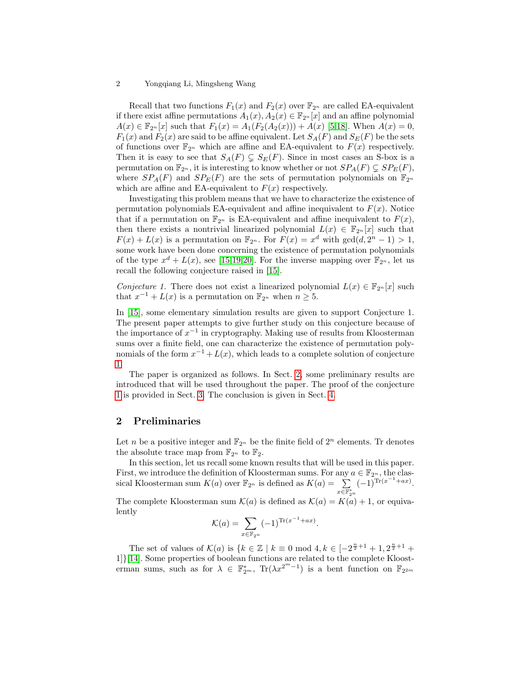Recall that two functions  $F_1(x)$  and  $F_2(x)$  over  $\mathbb{F}_{2^n}$  are called EA-equivalent if there exist affine permutations  $A_1(x)$ ,  $A_2(x) \in \mathbb{F}_{2^n}[x]$  and an affine polynomial  $A(x) \in \mathbb{F}_{2^n}[x]$  such that  $F_1(x) = A_1(F_2(A_2(x))) + A(x)$  [\[5,](#page-10-3)[18\]](#page-11-1). When  $A(x) = 0$ ,  $F_1(x)$  and  $F_2(x)$  are said to be affine equivalent. Let  $S_A(F)$  and  $S_E(F)$  be the sets of functions over  $\mathbb{F}_{2^n}$  which are affine and EA-equivalent to  $F(x)$  respectively. Then it is easy to see that  $S_A(F) \subsetneq S_E(F)$ . Since in most cases an S-box is a permutation on  $\mathbb{F}_{2^n}$ , it is interesting to know whether or not  $SP_A(F) \subseteq SP_E(F)$ , where  $SP_A(F)$  and  $SP_E(F)$  are the sets of permutation polynomials on  $\mathbb{F}_{2^n}$ which are affine and EA-equivalent to  $F(x)$  respectively.

Investigating this problem means that we have to characterize the existence of permutation polynomials EA-equivalent and affine inequivalent to  $F(x)$ . Notice that if a permutation on  $\mathbb{F}_{2^n}$  is EA-equivalent and affine inequivalent to  $F(x)$ , then there exists a nontrivial linearized polynomial  $L(x) \in \mathbb{F}_{2^n}[x]$  such that  $F(x) + L(x)$  is a permutation on  $\mathbb{F}_{2^n}$ . For  $F(x) = x^d$  with  $gcd(d, 2^n - 1) > 1$ , some work have been done concerning the existence of permutation polynomials of the type  $x^d + L(x)$ , see [\[15,](#page-11-0)[19](#page-11-6)[,20\]](#page-11-7). For the inverse mapping over  $\mathbb{F}_{2^n}$ , let us recall the following conjecture raised in [\[15\]](#page-11-0).

<span id="page-1-0"></span>Conjecture 1. There does not exist a linearized polynomial  $L(x) \in \mathbb{F}_{2^n}[x]$  such that  $x^{-1} + L(x)$  is a permutation on  $\mathbb{F}_{2^n}$  when  $n \geq 5$ .

In [\[15\]](#page-11-0), some elementary simulation results are given to support Conjecture 1. The present paper attempts to give further study on this conjecture because of the importance of  $x^{-1}$  in cryptography. Making use of results from Kloosterman sums over a finite field, one can characterize the existence of permutation polynomials of the form  $x^{-1} + L(x)$ , which leads to a complete solution of conjecture [1.](#page-1-0)

The paper is organized as follows. In Sect. [2,](#page-1-1) some preliminary results are introduced that will be used throughout the paper. The proof of the conjecture [1](#page-1-0) is provided in Sect. [3.](#page-2-0) The conclusion is given in Sect. [4.](#page-10-6)

## <span id="page-1-1"></span>2 Preliminaries

Let n be a positive integer and  $\mathbb{F}_{2^n}$  be the finite field of  $2^n$  elements. Tr denotes the absolute trace map from  $\mathbb{F}_{2^n}$  to  $\mathbb{F}_2$ .

In this section, let us recall some known results that will be used in this paper. First, we introduce the definition of Kloosterman sums. For any  $a \in \mathbb{F}_{2^n}$ , the classical Kloosterman sum  $K(a)$  over  $\mathbb{F}_{2^n}$  is defined as  $K(a) = \sum_{x \in \mathbb{F}_{2^n}^*}$  $(-1)^{\text{Tr}(x^{-1}+ax)}$ .

The complete Kloosterman sum  $\mathcal{K}(a)$  is defined as  $\mathcal{K}(a) = K(a) + 1$ , or equivalently

$$
\mathcal{K}(a) = \sum_{x \in \mathbb{F}_{2^n}} (-1)^{\text{Tr}(x^{-1} + ax)}.
$$

The set of values of  $\mathcal{K}(a)$  is  $\{k \in \mathbb{Z} \mid k \equiv 0 \text{ mod } 4, k \in [-2^{\frac{n}{2}+1}+1, 2^{\frac{n}{2}+1}+1]$ 1]}[\[14\]](#page-11-5). Some properties of boolean functions are related to the complete Kloosterman sums, such as for  $\lambda \in \mathbb{F}_{2^m}^*$ ,  $\text{Tr}(\lambda x^{2^m-1})$  is a bent function on  $\mathbb{F}_{2^{2^m}}$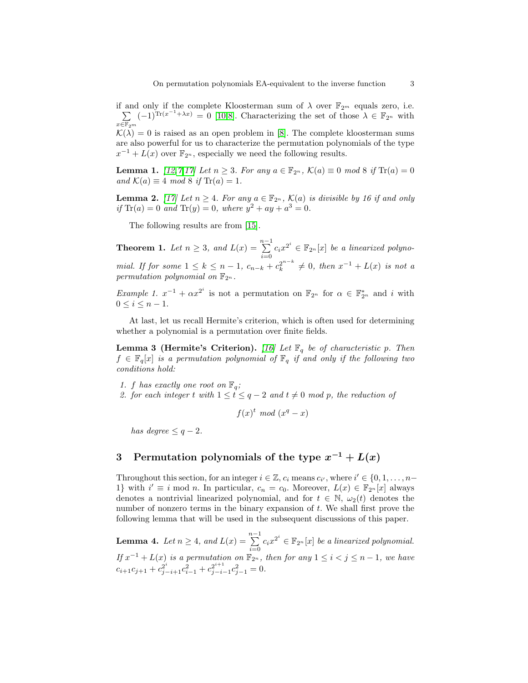if and only if the complete Kloosterman sum of  $\lambda$  over  $\mathbb{F}_{2^m}$  equals zero, i.e.  $\sum$  $x\bar{\in} \overline{\mathbb{F}}_2$ m  $(-1)^{\text{Tr}(x^{-1}+\lambda x)} = 0$  [\[10,](#page-11-8)[8\]](#page-10-7). Characterizing the set of those  $\lambda \in \mathbb{F}_{2^n}$  with  $\mathcal{K}(\lambda) = 0$  is raised as an open problem in [\[8\]](#page-10-7). The complete kloosterman sums are also powerful for us to characterize the permutation polynomials of the type

 $x^{-1} + L(x)$  over  $\mathbb{F}_{2^n}$ , especially we need the following results.

<span id="page-2-3"></span>**Lemma 1.**  $[12, 7, 17]$  $[12, 7, 17]$  $[12, 7, 17]$  $[12, 7, 17]$  $[12, 7, 17]$  Let  $n \ge 3$ . For any  $a \in \mathbb{F}_{2^n}$ ,  $\mathcal{K}(a) \equiv 0 \mod 8$  if  $\text{Tr}(a) = 0$ and  $\mathcal{K}(a) \equiv 4 \mod 8$  if  $\text{Tr}(a) = 1$ .

<span id="page-2-4"></span>**Lemma 2.** [\[17\]](#page-11-10) Let  $n \geq 4$ . For any  $a \in \mathbb{F}_{2^n}$ ,  $\mathcal{K}(a)$  is divisible by 16 if and only if  $\text{Tr}(a) = 0$  and  $\text{Tr}(y) = 0$ , where  $y^2 + ay + a^3 = 0$ .

The following results are from [\[15\]](#page-11-0).

<span id="page-2-1"></span>**Theorem 1.** Let  $n \geq 3$ , and  $L(x) = \sum_{n=1}^{n-1}$  $\sum_{i=0}^{n} c_i x^{2^i} \in \mathbb{F}_{2^n}[x]$  be a linearized polynomial. If for some  $1 \leq k \leq n-1$ ,  $c_{n-k} + c_k^{2^{n-k}} \neq 0$ , then  $x^{-1} + L(x)$  is not a permutation polynomial on  $\mathbb{F}_{2^n}$ .

<span id="page-2-5"></span>*Example 1.*  $x^{-1} + \alpha x^{2^i}$  is not a permutation on  $\mathbb{F}_{2^n}$  for  $\alpha \in \mathbb{F}_{2^n}^*$  and i with  $0 \leq i \leq n-1$ .

At last, let us recall Hermite's criterion, which is often used for determining whether a polynomial is a permutation over finite fields.

**Lemma 3 (Hermite's Criterion).** [\[16\]](#page-11-11) Let  $\mathbb{F}_q$  be of characteristic p. Then  $f \in \mathbb{F}_q[x]$  is a permutation polynomial of  $\mathbb{F}_q$  if and only if the following two conditions hold:

- 1. f has exactly one root on  $\mathbb{F}_q$ ;
- 2. for each integer t with  $1 \leq t \leq q-2$  and  $t \neq 0$  mod p, the reduction of

 $f(x)^t \mod (x^q - x)$ 

has degree  $\leq q-2$ .

## <span id="page-2-0"></span>3 Permutation polynomials of the type  $x^{-1} + L(x)$

Throughout this section, for an integer  $i \in \mathbb{Z}$ ,  $c_i$  means  $c_{i'}$ , where  $i' \in \{0, 1, \ldots, n-1\}$ 1} with  $i' \equiv i \mod n$ . In particular,  $c_n = c_0$ . Moreover,  $L(x) \in \mathbb{F}_{2^n}[x]$  always denotes a nontrivial linearized polynomial, and for  $t \in \mathbb{N}$ ,  $\omega_2(t)$  denotes the number of nonzero terms in the binary expansion of  $t$ . We shall first prove the following lemma that will be used in the subsequent discussions of this paper.

<span id="page-2-2"></span>**Lemma 4.** Let  $n \geq 4$ , and  $L(x) = \sum_{n=1}^{n-1}$  $\sum_{i=0}^{n} c_i x^{2^i} \in \mathbb{F}_{2^n}[x]$  be a linearized polynomial. If  $x^{-1} + L(x)$  is a permutation on  $\mathbb{F}_{2^n}$ , then for any  $1 \leq i < j \leq n-1$ , we have  $c_{i+1}c_{j+1} + c_{j-i+1}^{2^i}c_{i-1}^2 + c_{j-i-1}^{2^{i+1}}c_{j-1}^2 = 0.$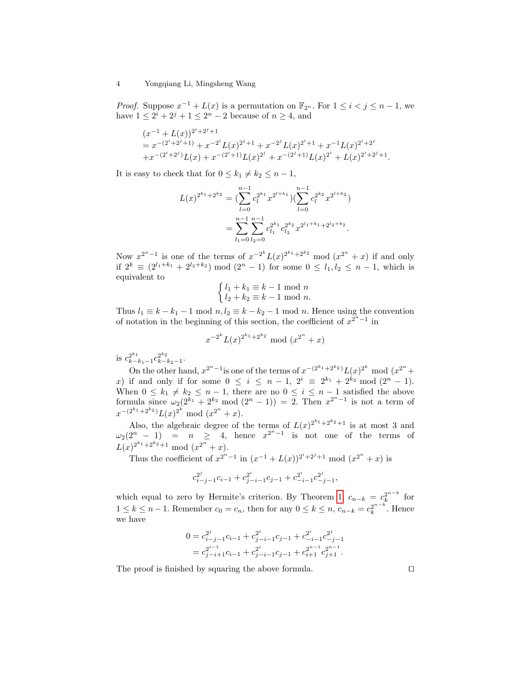*Proof.* Suppose  $x^{-1} + L(x)$  is a permutation on  $\mathbb{F}_{2^n}$ . For  $1 \leq i < j \leq n-1$ , we have  $1 \le 2^{i} + 2^{j} + 1 \le 2^{n} - 2$  because of  $n \ge 4$ , and

$$
(x^{-1} + L(x))^{2^i + 2^j + 1}
$$
  
=  $x^{-(2^i + 2^j + 1)} + x^{-2^i} L(x)^{2^j + 1} + x^{-2^j} L(x)^{2^i + 1} + x^{-1} L(x)^{2^i + 2^j}$   
+  $x^{-(2^i + 2^j)} L(x) + x^{-(2^i + 1)} L(x)^{2^j} + x^{-(2^j + 1)} L(x)^{2^i} + L(x)^{2^i + 2^j + 1}.$ 

It is easy to check that for  $0 \leq k_1 \neq k_2 \leq n-1$ ,

<span id="page-3-0"></span>
$$
L(x)^{2^{k_1}+2^{k_2}} = \left(\sum_{l=0}^{n-1} c_l^{2^{k_1}} x^{2^{l+k_1}}\right) \left(\sum_{l=0}^{n-1} c_l^{2^{k_2}} x^{2^{l+k_2}}\right)
$$
  
= 
$$
\sum_{l_1=0}^{n-1} \sum_{l_2=0}^{n-1} c_{l_1}^{2^{k_1}} c_{l_2}^{2^{k_2}} x^{2^{l_1+k_1}+2^{l_2+k_2}}.
$$

Now  $x^{2^n-1}$  is one of the terms of  $x^{-2^k}L(x)^{2^{k_1}+2^{k_2}}$  mod  $(x^{2^n}+x)$  if and only if  $2^k \equiv (2^{l_1+k_1} + 2^{l_2+k_2}) \mod (2^n - 1)$  for some  $0 \leq l_1, l_2 \leq n-1$ , which is equivalent to

$$
\begin{cases} l_1 + k_1 \equiv k - 1 \mod n \\ l_2 + k_2 \equiv k - 1 \mod n. \end{cases}
$$

Thus  $l_1 \equiv k - k_1 - 1 \mod n$ ,  $l_2 \equiv k - k_2 - 1 \mod n$ . Hence using the convention of notation in the beginning of this section, the coefficient of  $x^{\tilde{2}^n-1}$  in

$$
x^{-2^k}L(x)^{2^{k_1}+2^{k_2}}
$$
 mod  $(x^{2^n}+x)$ 

is  $c_{k-k_1-1}^{2^{k_1}} c_{k-k_2-1}^{2^{k_2}}$ .

On the other hand,  $x^{2^n-1}$  is one of the terms of  $x^{-(2^{k_1}+2^{k_2})}L(x)^{2^k}$  mod  $(x^{2^n}+$ x) if and only if for some  $0 \le i \le n-1$ ,  $2^i \equiv 2^{k_1} + 2^{k_2} \mod (2^n - 1)$ . When  $0 \leq k_1 \neq k_2 \leq n-1$ , there are no  $0 \leq i \leq n-1$  satisfied the above formula since  $\omega_2(2^{k_1}+2^{k_2} \text{ mod } (2^n-1)) = 2$ . Then  $x^{2^n-1}$  is not a term of  $x^{-(2^{k_1}+2^{k_2})}L(x)^{2^k} \mod (x^{2^n}+x).$ 

Also, the algebraic degree of the terms of  $L(x)^{2^{k_1}+2^{k_2}+1}$  is at most 3 and  $\omega_2(2^n-1)$  =  $n \geq 4$ , hence  $x^{2^n-1}$  is not one of the terms of  $L(x)^{2^{k_1}+2^{k_2}+1} \mod (x^{2^n}+x).$ 

Thus the coefficient of  $x^{2^n-1}$  in  $(x^{-1} + L(x))^{2^i+2^j+1}$  mod  $(x^{2^n} + x)$  is

$$
c_{i-j-1}^{2^j}c_{i-1} + c_{j-i-1}^{2^i}c_{j-1} + c_{-i-1}^{2^i}c_{-j-1}^{2^j},
$$

which equal to zero by Hermite's criterion. By Theorem [1,](#page-2-1)  $c_{n-k} = c_k^{2^{n-k}}$  for  $1 \leq k \leq n-1$ . Remember  $c_0 = c_n$ , then for any  $0 \leq k \leq n$ ,  $c_{n-k} = c_k^{2^{n-k}}$ . Hence we have

$$
0 = c_{i-j-1}^{2^j} c_{i-1} + c_{j-i-1}^{2^i} c_{j-1} + c_{-i-1}^{2^i} c_{-j-1}^{2^j}
$$
  
= 
$$
c_{j-i+1}^{2^{i-1}} c_{i-1} + c_{j-i-1}^{2^i} c_{j-1}^{2^{i-1}} + c_{i+1}^{2^{n-1}} c_{j+1}^{2^{n-1}}.
$$

The proof is finished by squaring the above formula.  $\Box$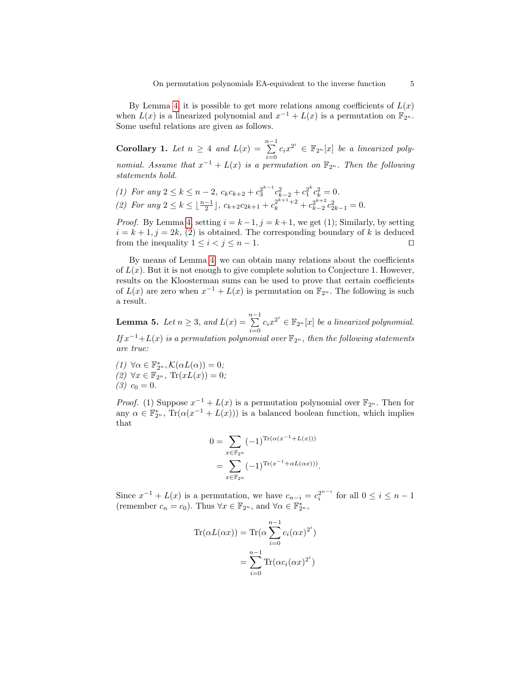By Lemma [4,](#page-2-2) it is possible to get more relations among coefficients of  $L(x)$ when  $L(x)$  is a linearized polynomial and  $x^{-1} + L(x)$  is a permutation on  $\mathbb{F}_{2^n}$ . Some useful relations are given as follows.

<span id="page-4-1"></span>**Corollary 1.** Let  $n \geq 4$  and  $L(x) = \sum_{i=1}^{n-1} c_i x^{2^i} \in \mathbb{F}_{2^n}[x]$  be a linearized polynomial. Assume that  $x^{-1} + L(x)$  is a permutation on  $\mathbb{F}_{2^n}$ . Then the following statements hold.

(1) For any  $2 \le k \le n-2$ ,  $c_k c_{k+2} + c_3^{2^{k-1}} c_{k-2}^2 + c_1^{2^k} c_k^2 = 0$ . (2) For any  $2 \le k \le \lfloor \frac{n-1}{2} \rfloor$ ,  $c_{k+2}c_{2k+1} + c_k^{2^{k+1}+2} + c_{k-2}^{2^{k+2}}c_{2k-1}^2 = 0$ .

*Proof.* By Lemma [4,](#page-2-2) setting  $i = k - 1$ ,  $j = k + 1$ , we get (1); Similarly, by setting  $i = k + 1, j = 2k, (2)$  is obtained. The corresponding boundary of k is deduced from the inequality  $1 \leq i < j \leq n-1$ .

By means of Lemma [4,](#page-2-2) we can obtain many relations about the coefficients of  $L(x)$ . But it is not enough to give complete solution to Conjecture 1. However, results on the Kloosterman sums can be used to prove that certain coefficients of  $L(x)$  are zero when  $x^{-1} + L(x)$  is permutation on  $\mathbb{F}_{2^n}$ . The following is such a result.

<span id="page-4-0"></span>**Lemma 5.** Let  $n \geq 3$ , and  $L(x) = \sum_{n=1}^{n-1}$  $\sum_{i=0}^{n} c_i x^{2^i} \in \mathbb{F}_{2^n}[x]$  be a linearized polynomial. If  $x^{-1}+L(x)$  is a permutation polynomial over  $\mathbb{F}_{2^n}$ , then the following statements are true:

(1)  $\forall \alpha \in \mathbb{F}_{2^n}^*, \mathcal{K}(\alpha L(\alpha)) = 0;$  $(2) \ \forall x \in \mathbb{F}_{2^n}$ ,  $\text{Tr}(xL(x)) = 0$ ;  $(3)$   $c_0 = 0$ .

*Proof.* (1) Suppose  $x^{-1} + L(x)$  is a permutation polynomial over  $\mathbb{F}_{2^n}$ . Then for any  $\alpha \in \mathbb{F}_{2^n}^*$ ,  $\text{Tr}(\alpha(x^{-1} + L(x)))$  is a balanced boolean function, which implies that

$$
0 = \sum_{x \in \mathbb{F}_{2^n}} (-1)^{\text{Tr}(\alpha(x^{-1} + L(x)))}
$$
  
= 
$$
\sum_{x \in \mathbb{F}_{2^n}} (-1)^{\text{Tr}(x^{-1} + \alpha L(\alpha x)))}.
$$

Since  $x^{-1} + L(x)$  is a permutation, we have  $c_{n-i} = c_i^{2^{n-i}}$  for all  $0 \le i \le n-1$ (remember  $c_n = c_0$ ). Thus  $\forall x \in \mathbb{F}_{2^n}$ , and  $\forall \alpha \in \mathbb{F}_{2^n}^*$ ,

$$
\operatorname{Tr}(\alpha L(\alpha x)) = \operatorname{Tr}(\alpha \sum_{i=0}^{n-1} c_i (\alpha x)^{2^i})
$$

$$
= \sum_{i=0}^{n-1} \operatorname{Tr}(\alpha c_i (\alpha x)^{2^i})
$$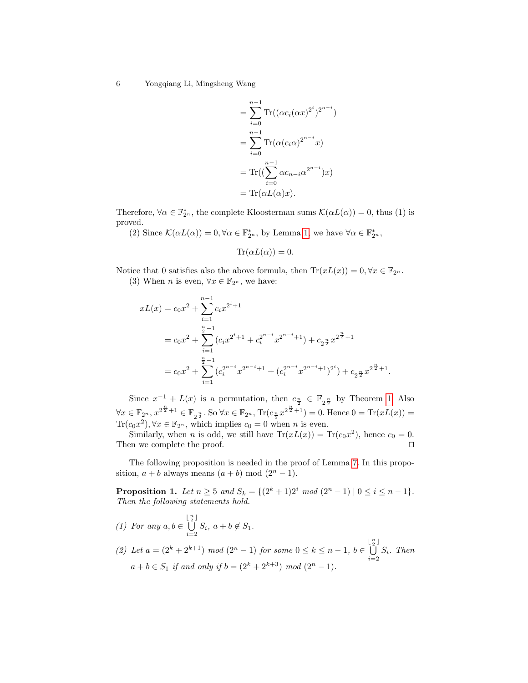$$
= \sum_{i=0}^{n-1} \text{Tr}((\alpha c_i(\alpha x)^{2^i})^{2^{n-i}})
$$

$$
= \sum_{i=0}^{n-1} \text{Tr}(\alpha (c_i \alpha)^{2^{n-i}} x)
$$

$$
= \text{Tr}((\sum_{i=0}^{n-1} \alpha c_{n-i} \alpha^{2^{n-i}}) x)
$$

$$
= \text{Tr}(\alpha L(\alpha) x).
$$

Therefore,  $\forall \alpha \in \mathbb{F}_{2^n}^*$ , the complete Kloosterman sums  $\mathcal{K}(\alpha L(\alpha)) = 0$ , thus (1) is proved.

(2) Since  $\mathcal{K}(\alpha L(\alpha)) = 0, \forall \alpha \in \mathbb{F}_{2^n}^*$ , by Lemma [1,](#page-2-3) we have  $\forall \alpha \in \mathbb{F}_{2^n}^*$ ,

$$
\text{Tr}(\alpha L(\alpha)) = 0.
$$

Notice that 0 satisfies also the above formula, then  $\text{Tr}(xL(x)) = 0, \forall x \in \mathbb{F}_{2^n}$ . (3) When *n* is even,  $\forall x \in \mathbb{F}_{2^n}$ , we have:

$$
xL(x) = c_0 x^2 + \sum_{i=1}^{n-1} c_i x^{2^i + 1}
$$
  
=  $c_0 x^2 + \sum_{i=1}^{\frac{n}{2}-1} (c_i x^{2^i+1} + c_i^{2^{n-i}} x^{2^{n-i}+1}) + c_2 \frac{n}{2} x^{2^{\frac{n}{2}}+1}$   
=  $c_0 x^2 + \sum_{i=1}^{\frac{n}{2}-1} (c_i^{2^{n-i}} x^{2^{n-i}+1} + (c_i^{2^{n-i}} x^{2^{n-i}+1})^{2^i}) + c_2 \frac{n}{2} x^{2^{\frac{n}{2}}+1}.$ 

Since  $x^{-1} + L(x)$  is a permutation, then  $c_{\frac{n}{2}} \in \mathbb{F}_{2^{\frac{n}{2}}}$  by Theorem [1.](#page-2-1) Also  $\forall x \in \mathbb{F}_{2^n}, x^{2^{\frac{n}{2}}+1} \in \mathbb{F}_{2^{\frac{n}{2}}}.$  So  $\forall x \in \mathbb{F}_{2^n}, \text{Tr}(c_{\frac{n}{2}}x^{2^{\frac{n}{2}}+1}) = 0.$  Hence  $0 = \text{Tr}(xL(x)) =$  $\text{Tr}(c_0x^2), \forall x \in \mathbb{F}_{2^n}$ , which implies  $c_0 = 0$  when *n* is even.

Similarly, when *n* is odd, we still have  $Tr(xL(x)) = Tr(c_0x^2)$ , hence  $c_0 = 0$ . Then we complete the proof.  $\Box$ 

The following proposition is needed in the proof of Lemma [7.](#page-7-0) In this proposition,  $a + b$  always means  $(a + b) \mod (2^{n} - 1)$ .

<span id="page-5-0"></span>**Proposition 1.** Let  $n \ge 5$  and  $S_k = \{(2^k + 1)2^i \mod (2^n - 1) \mid 0 \le i \le n - 1\}.$ Then the following statements hold.

- (1) For any  $a, b \in$  $\bigcup^{\frac{n}{2}}$  $\bigcup_{i=2} S_i, \ a+b \notin S_1.$
- (2) Let  $a = (2^k + 2^{k+1}) \mod (2^n 1)$  for some  $0 \le k \le n 1$ ,  $b \in \bigcup_{k=1}^{\lfloor \frac{n}{2} \rfloor}$  $\bigcup_{i=2} S_i$ . Then  $a + b \in S_1$  if and only if  $b = (2^k + 2^{k+3}) \mod (2^n - 1)$ .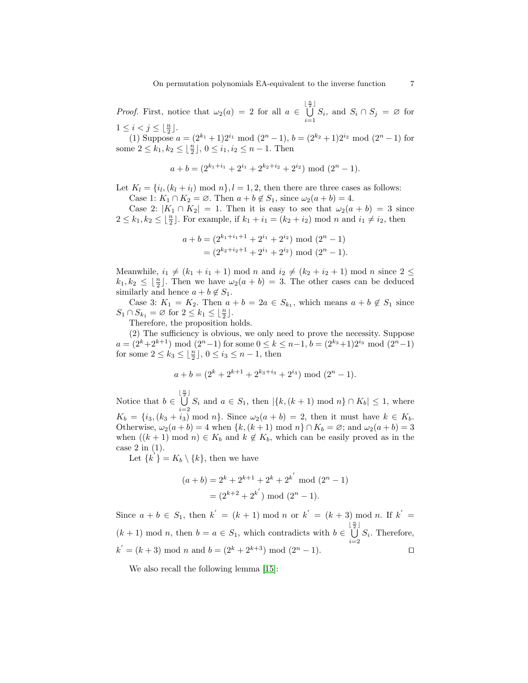*Proof.* First, notice that  $\omega_2(a) = 2$  for all  $a \in$  $\begin{bmatrix} \frac{n}{2} \end{bmatrix}$  $\bigcup_{i=1}^{n} S_i$ , and  $S_i \cap S_j = \emptyset$  for  $1 \leq i < j \leq \lfloor \frac{n}{2} \rfloor.$ 

(1) Suppose  $a = (2^{k_1} + 1)2^{i_1} \mod (2^n - 1), b = (2^{k_2} + 1)2^{i_2} \mod (2^n - 1)$  for some  $2 \leq k_1, k_2 \leq \lfloor \frac{n}{2} \rfloor, 0 \leq i_1, i_2 \leq n-1$ . Then

$$
a + b = (2^{k_1 + i_1} + 2^{i_1} + 2^{k_2 + i_2} + 2^{i_2}) \mod (2^n - 1).
$$

Let  $K_l = \{i_l, (k_l + i_l) \mod n\}, l = 1, 2$ , then there are three cases as follows: Case 1:  $K_1 \cap K_2 = \emptyset$ . Then  $a + b \notin S_1$ , since  $\omega_2(a + b) = 4$ .

Case 2:  $|K_1 \cap K_2| = 1$ . Then it is easy to see that  $\omega_2(a+b) = 3$  since  $2 \leq k_1, k_2 \leq \lfloor \frac{n}{2} \rfloor$ . For example, if  $k_1 + i_1 = (k_2 + i_2) \mod n$  and  $i_1 \neq i_2$ , then

$$
a + b = (2^{k_1 + i_1 + 1} + 2^{i_1} + 2^{i_2}) \mod (2^n - 1)
$$
  
=  $(2^{k_2 + i_2 + 1} + 2^{i_1} + 2^{i_2}) \mod (2^n - 1).$ 

Meanwhile,  $i_1 \neq (k_1 + i_1 + 1) \mod n$  and  $i_2 \neq (k_2 + i_2 + 1) \mod n$  since  $2 \leq$  $k_1, k_2 \leq \lfloor \frac{n}{2} \rfloor$ . Then we have  $\omega_2(a + b) = 3$ . The other cases can be deduced similarly and hence  $a + b \notin S_1$ .

Case 3:  $K_1 = K_2$ . Then  $a + b = 2a \in S_{k_1}$ , which means  $a + b \notin S_1$  since  $S_1 \cap S_{k_1} = \emptyset$  for  $2 \leq k_1 \leq \lfloor \frac{n}{2} \rfloor$ .

Therefore, the proposition holds.

(2) The sufficiency is obvious, we only need to prove the necessity. Suppose  $a = (2<sup>k</sup>+2<sup>k+1</sup>) \mod (2<sup>n</sup>-1)$  for some  $0 \le k \le n-1$ ,  $b = (2<sup>k<sub>3</sub></sup>+1)2<sup>i<sub>3</sub></sup> \mod (2<sup>n</sup>-1)$ for some  $2 \leq k_3 \leq \lfloor \frac{n}{2} \rfloor$ ,  $0 \leq i_3 \leq n-1$ , then

$$
a + b = (2k + 2k+1 + 2k3+i3 + 2i3) \text{ mod } (2n - 1).
$$

Notice that  $b \in$  $\begin{bmatrix} \frac{n}{2} \end{bmatrix}$  $\bigcup_{i=2} S_i$  and  $a \in S_1$ , then  $|\{k,(k+1) \mod n\} \cap K_b| \leq 1$ , where  $K_b = \{i_3,(k_3+i_3) \text{ mod } n\}$ . Since  $\omega_2(a+b) = 2$ , then it must have  $k \in K_b$ . Otherwise,  $\omega_2(a+b) = 4$  when  $\{k, (k+1) \mod n\} \cap K_b = \emptyset$ ; and  $\omega_2(a+b) = 3$ when  $((k+1) \mod n) \in K_b$  and  $k \notin K_b$ , which can be easily proved as in the case 2 in (1).

Let  $\{k^{i}\} = K_{b} \setminus \{k\},\$  then we have

<span id="page-6-0"></span>
$$
(a+b) = 2k + 2k+1 + 2k + 2k' \mod (2n - 1)
$$

$$
= (2k+2 + 2k') \mod (2n - 1).
$$

Since  $a + b \in S_1$ , then  $k' = (k + 1) \mod n$  or  $k' = (k + 3) \mod n$ . If  $k' =$  $(k+1) \mod n$ , then  $b = a \in S_1$ , which contradicts with  $b \in$  $\begin{bmatrix} \frac{n}{2} \end{bmatrix}$  $\bigcup_{i=2} S_i$ . Therefore,  $k' = (k+3) \text{ mod } n \text{ and } b = (2^k + 2^{k+3}) \text{ mod } (2^n - 1).$ 

We also recall the following lemma [\[15\]](#page-11-0):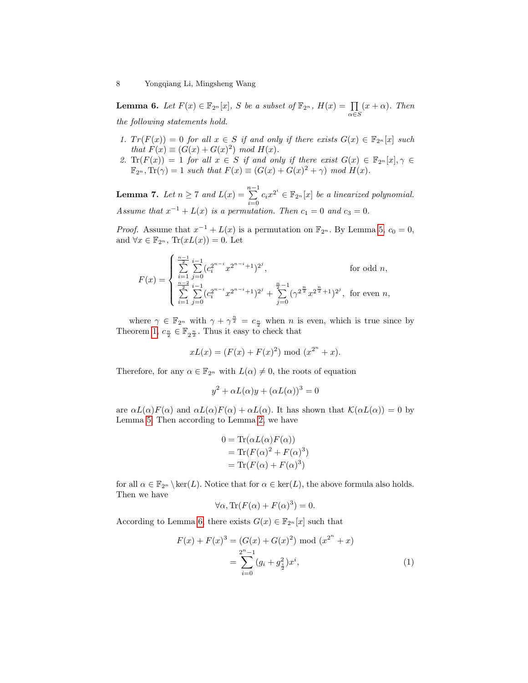**Lemma 6.** Let  $F(x) \in \mathbb{F}_{2^n}[x]$ , S be a subset of  $\mathbb{F}_{2^n}$ ,  $H(x) = \prod_{\alpha \in S}$  $(x + \alpha)$ . Then the following statements hold.

- 1.  $Tr(F(x)) = 0$  for all  $x \in S$  if and only if there exists  $G(x) \in \mathbb{F}_{2^n}[x]$  such that  $F(x) \equiv (G(x) + G(x)^2) \mod H(x)$ .
- 2.  $\text{Tr}(F(x)) = 1$  for all  $x \in S$  if and only if there exist  $G(x) \in \mathbb{F}_{2^n}[x], \gamma \in$  $\mathbb{F}_{2^n}, \text{Tr}(\gamma) = 1$  such that  $F(x) \equiv (G(x) + G(x)^2 + \gamma) \mod H(x)$ .

<span id="page-7-0"></span>**Lemma 7.** Let  $n \geq 7$  and  $L(x) = \sum_{n=1}^{n-1}$  $\sum_{i=0}^{n} c_i x^{2^i} \in \mathbb{F}_{2^n}[x]$  be a linearized polynomial. Assume that  $x^{-1} + L(x)$  is a permutation. Then  $c_1 = 0$  and  $c_3 = 0$ .

*Proof.* Assume that  $x^{-1} + L(x)$  is a permutation on  $\mathbb{F}_{2^n}$ . By Lemma [5,](#page-4-0)  $c_0 = 0$ , and  $\forall x \in \mathbb{F}_{2^n}$ ,  $\text{Tr}(xL(x)) = 0$ . Let

$$
F(x) = \begin{cases} \sum_{i=1}^{n-1} \sum_{j=0}^{i-1} (c_i^{2^{n-i}} x^{2^{n-i}+1})^{2^j}, & \text{for odd } n, \\ \sum_{i=1}^{n-2} \sum_{j=0}^{i-1} (c_i^{2^{n-i}} x^{2^{n-i}+1})^{2^j} + \sum_{j=0}^{n-1} (\gamma^{2^{\frac{n}{2}}} x^{2^{\frac{n}{2}}+1})^{2^j}, & \text{for even } n, \end{cases}
$$

where  $\gamma \in \mathbb{F}_{2^n}$  with  $\gamma + \gamma^{\frac{n}{2}} = c_{\frac{n}{2}}$  when n is even, which is true since by Theorem [1,](#page-2-1)  $c_{\frac{n}{2}} \in \mathbb{F}_{2^{\frac{n}{2}}}$ . Thus it easy to check that

$$
xL(x) = (F(x) + F(x)^{2}) \bmod (x^{2^{n}} + x).
$$

Therefore, for any  $\alpha \in \mathbb{F}_{2^n}$  with  $L(\alpha) \neq 0$ , the roots of equation

$$
y^2 + \alpha L(\alpha)y + (\alpha L(\alpha))^3 = 0
$$

are  $\alpha L(\alpha)F(\alpha)$  and  $\alpha L(\alpha)F(\alpha) + \alpha L(\alpha)$ . It has shown that  $\mathcal{K}(\alpha L(\alpha)) = 0$  by Lemma [5.](#page-4-0) Then according to Lemma [2,](#page-2-4) we have

$$
0 = \text{Tr}(\alpha L(\alpha)F(\alpha))
$$
  
= 
$$
\text{Tr}(F(\alpha)^2 + F(\alpha)^3)
$$
  
= 
$$
\text{Tr}(F(\alpha) + F(\alpha)^3)
$$

for all  $\alpha \in \mathbb{F}_{2^n} \setminus \text{ker}(L)$ . Notice that for  $\alpha \in \text{ker}(L)$ , the above formula also holds. Then we have

$$
\forall \alpha, \text{Tr}(F(\alpha) + F(\alpha)^3) = 0.
$$

According to Lemma [6,](#page-6-0) there exists  $G(x) \in \mathbb{F}_{2^n}[x]$  such that

$$
F(x) + F(x)^3 = (G(x) + G(x)^2) \text{ mod } (x^{2^n} + x)
$$
  
= 
$$
\sum_{i=0}^{2^n - 1} (g_i + g_{\frac{i}{2}}^2) x^i,
$$
 (1)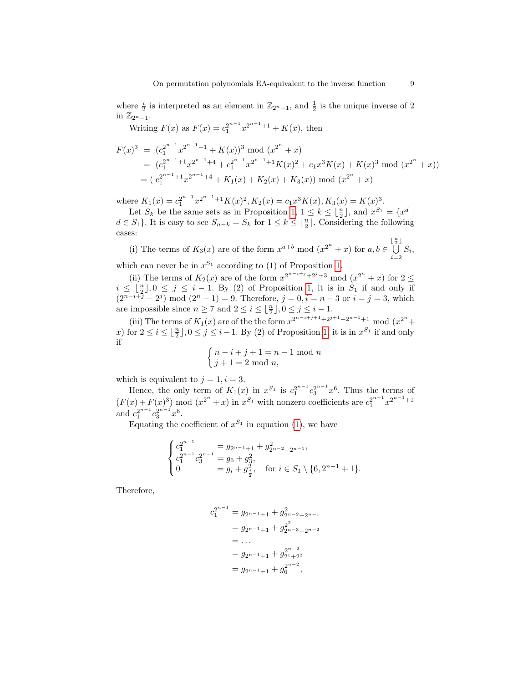where  $\frac{i}{2}$  is interpreted as an element in  $\mathbb{Z}_{2^{n}-1}$ , and  $\frac{1}{2}$  is the unique inverse of 2 in  $\mathbb{Z}_{2n-1}$ .

Writing  $F(x)$  as  $F(x) = c_1^{2^{n-1}} x^{2^{n-1}+1} + K(x)$ , then

<span id="page-8-0"></span>
$$
F(x)^3 = (c_1^{2^{n-1}} x^{2^{n-1}+1} + K(x))^3 \mod (x^{2^n} + x)
$$
  
=  $(c_1^{2^{n-1}+1} x^{2^{n-1}+4} + c_1^{2^{n-1}} x^{2^{n-1}+1} K(x)^2 + c_1 x^3 K(x) + K(x)^3 \mod (x^{2^n} + x))$   
=  $(c_1^{2^{n-1}+1} x^{2^{n-1}+4} + K_1(x) + K_2(x) + K_3(x)) \mod (x^{2^n} + x)$ 

where  $K_1(x) = c_1^{2^{n-1}} x^{2^{n-1}+1} K(x)^2, K_2(x) = c_1 x^3 K(x), K_3(x) = K(x)^3.$ 

Let  $S_k$  be the same sets as in Proposition [1,](#page-5-0)  $1 \leq k \leq \lfloor \frac{n}{2} \rfloor$ , and  $x^{S_1} = \{x^d \mid$  $d \in S_1$ . It is easy to see  $S_{n-k} = S_k$  for  $1 \leq k \leq \lfloor \frac{n}{2} \rfloor$ . Considering the following cases:

(i) The terms of  $K_3(x)$  are of the form  $x^{a+b} \mod (x^{2^n} + x)$  for  $a, b \in$  $\begin{bmatrix} \frac{n}{2} \end{bmatrix}$  $\bigcup_{i=2} S_i,$ 

which can never be in  $x^{S_1}$  according to (1) of Proposition [1.](#page-5-0)

(ii) The terms of  $K_2(x)$  are of the form  $x^{2^{n-i+j}+2^j+3} \mod (x^{2^n}+x)$  for  $2 \leq$  $i \leq \lfloor \frac{n}{2} \rfloor, 0 \leq j \leq i - 1$ . By (2) of Proposition [1,](#page-5-0) it is in  $S_1$  if and only if  $(2^{n-i+\tilde{j}} + 2^{j}) \mod (2^{n} - 1) = 9$ . Therefore,  $j = 0, i = n - 3$  or  $i = j = 3$ , which are impossible since  $n \ge 7$  and  $2 \le i \le \lfloor \frac{n}{2} \rfloor, 0 \le j \le i - 1$ .

(iii) The terms of  $K_1(x)$  are of the the form  $x^{2^{n-i+j+1}+2^{j+1}+2^{n-1}+1}$  mod  $(x^{2^n} +$ x) for  $2 \leq i \leq \lfloor \frac{n}{2} \rfloor, 0 \leq j \leq i - 1$ . By (2) of Proposition [1,](#page-5-0) it is in  $x^{S_1}$  if and only if

$$
\begin{cases} n-i+j+1 = n-1 \text{ mod } n \\ j+1 = 2 \text{ mod } n, \end{cases}
$$

which is equivalent to  $j = 1, i = 3$ .

Hence, the only term of  $K_1(x)$  in  $x^{S_1}$  is  $c_1^{2^{n-1}}c_3^{2^{n-1}}x^6$ . Thus the terms of  $(F(x) + F(x)^3) \mod (x^{2^n} + x)$  in  $x^{S_1}$  with nonzero coefficients are  $c_1^{2^{n-1}} x^{2^{n-1}+1}$ and  $c_1^{2^{n-1}}c_3^{2^{n-1}}x^6$ .

Equating the coefficient of  $x^{S_1}$  in equation [\(1\)](#page-3-0), we have

$$
\begin{cases} c_1^{2^{n-1}} &= g_{2^{n-1}+1} + g_{2^{n-2}+2^{n-1}}^2, \\ c_1^{2^{n-1}} c_3^{2^{n-1}} &= g_6 + g_3^2, \\ 0 &= g_i + g_{\frac{i}{2}}^2, \text{ for } i \in S_1 \setminus \{6, 2^{n-1} + 1\}. \end{cases}
$$

Therefore,

$$
c_1^{2^{n-1}} = g_{2^{n-1}+1} + g_{2^{n-2}+2^{n-1}}^2
$$
  
=  $g_{2^{n-1}+1} + g_{2^{n-3}+2^{n-2}}^2$   
= ...  
=  $g_{2^{n-1}+1} + g_{2^{n-2}}^{2^{n-2}}$   
=  $g_{2^{n-1}+1} + g_6^{2^{n-2}}$ ,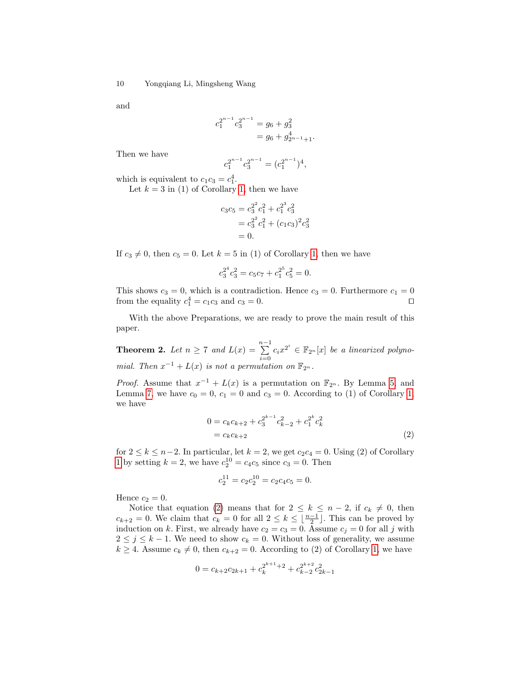and

$$
c_1^{2^{n-1}} c_3^{2^{n-1}} = g_6 + g_3^2
$$
  
=  $g_6 + g_{2^{n-1}+1}^4$ .

Then we have

$$
c_1^{2^{n-1}}c_3^{2^{n-1}} = (c_1^{2^{n-1}})^4,
$$

which is equivalent to  $c_1c_3 = c_1^4$ .

Let  $k = 3$  in (1) of Corollary [1,](#page-4-1) then we have

$$
c_3c_5 = c_3^{2^2}c_1^2 + c_1^{2^3}c_3^2
$$
  
=  $c_3^{2^2}c_1^2 + (c_1c_3)^2c_3^2$   
= 0.

If  $c_3 \neq 0$ , then  $c_5 = 0$ . Let  $k = 5$  in (1) of Corollary [1,](#page-4-1) then we have

$$
c_3^{2^4}c_3^2 = c_5c_7 + c_1^{2^5}c_5^2 = 0.
$$

This shows  $c_3 = 0$ , which is a contradiction. Hence  $c_3 = 0$ . Furthermore  $c_1 = 0$ from the equality  $c_1^4 = c_1 c_3$  and  $c_3 = 0$ .

With the above Preparations, we are ready to prove the main result of this paper.

<span id="page-9-0"></span>**Theorem 2.** Let  $n \geq 7$  and  $L(x) = \sum_{n=1}^{n-1}$  $\sum_{i=0}^{n} c_i x^{2^i} \in \mathbb{F}_{2^n}[x]$  be a linearized polynomial. Then  $x^{-1} + L(x)$  is not a permutation on  $\mathbb{F}_{2^n}$ .

*Proof.* Assume that  $x^{-1} + L(x)$  is a permutation on  $\mathbb{F}_{2^n}$ . By Lemma [5,](#page-4-0) and Lemma [7,](#page-7-0) we have  $c_0 = 0$ ,  $c_1 = 0$  and  $c_3 = 0$ . According to (1) of Corollary [1,](#page-4-1) we have

$$
0 = c_k c_{k+2} + c_3^{2^{k-1}} c_{k-2}^2 + c_1^{2^k} c_k^2
$$
  
=  $c_k c_{k+2}$  (2)

for  $2 \leq k \leq n-2$ . In particular, let  $k = 2$ , we get  $c_2c_4 = 0$ . Using (2) of Corollary [1](#page-4-1) by setting  $k = 2$ , we have  $c_2^{10} = c_4 c_5$  since  $c_3 = 0$ . Then

$$
c_2^{11} = c_2 c_2^{10} = c_2 c_4 c_5 = 0.
$$

Hence  $c_2 = 0$ .

Notice that equation [\(2\)](#page-8-0) means that for  $2 \leq k \leq n-2$ , if  $c_k \neq 0$ , then  $c_{k+2} = 0$ . We claim that  $c_k = 0$  for all  $2 \leq k \leq \lfloor \frac{n-1}{2} \rfloor$ . This can be proved by induction on k. First, we already have  $c_2 = c_3 = 0$ . Assume  $c_j = 0$  for all j with  $2 \leq j \leq k-1$ . We need to show  $c_k = 0$ . Without loss of generality, we assume  $k \geq 4$ . Assume  $c_k \neq 0$ , then  $c_{k+2} = 0$ . According to (2) of Corollary [1,](#page-4-1) we have

$$
0 = c_{k+2}c_{2k+1} + c_k^{2^{k+1}+2} + c_{k-2}^{2^{k+2}}c_{2k-1}^2
$$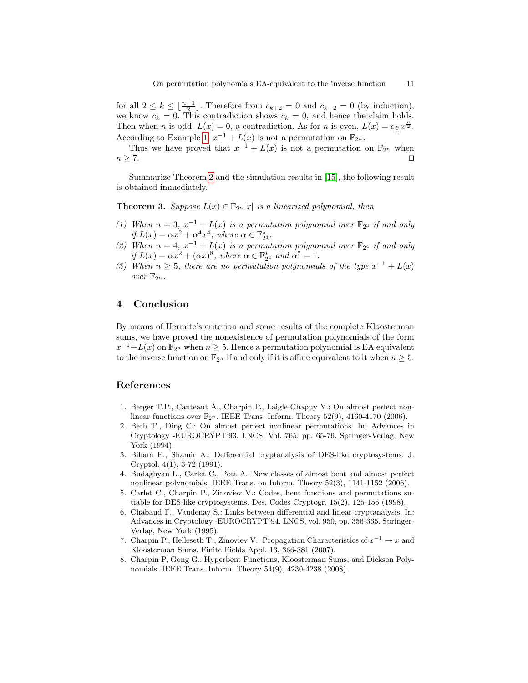for all  $2 \leq k \leq \lfloor \frac{n-1}{2} \rfloor$ . Therefore from  $c_{k+2} = 0$  and  $c_{k-2} = 0$  (by induction), we know  $c_k = 0$ . This contradiction shows  $c_k = 0$ , and hence the claim holds. Then when *n* is odd,  $L(x) = 0$ , a contradiction. As for *n* is even,  $L(x) = c_{\frac{n}{2}}x^{\frac{n}{2}}$ . According to Example [1,](#page-2-5)  $x^{-1} + L(x)$  is not a permutation on  $\mathbb{F}_{2^n}$ .

Thus we have proved that  $x^{-1} + L(x)$  is not a permutation on  $\mathbb{F}_{2^n}$  when  $n \geq 7$ .

Summarize Theorem [2](#page-9-0) and the simulation results in [\[15\]](#page-11-0), the following result is obtained immediately.

**Theorem 3.** Suppose  $L(x) \in \mathbb{F}_{2^n}[x]$  is a linearized polynomial, then

- (1) When  $n = 3$ ,  $x^{-1} + L(x)$  is a permutation polynomial over  $\mathbb{F}_{2^3}$  if and only if  $L(x) = \alpha x^2 + \alpha^4 x^4$ , where  $\alpha \in \mathbb{F}_{2^3}^*$ .
- (2) When  $n = 4$ ,  $x^{-1} + L(x)$  is a permutation polynomial over  $\mathbb{F}_{2^4}$  if and only if  $L(x) = \alpha x^2 + (\alpha x)^8$ , where  $\alpha \in \mathbb{F}_{2^4}^*$  and  $\alpha^5 = 1$ .
- (3) When  $n \geq 5$ , there are no permutation polynomials of the type  $x^{-1} + L(x)$ over  $\mathbb{F}_{2^n}$ .

## <span id="page-10-6"></span>4 Conclusion

By means of Hermite's criterion and some results of the complete Kloosterman sums, we have proved the nonexistence of permutation polynomials of the form  $x^{-1}+L(x)$  on  $\mathbb{F}_{2^n}$  when  $n\geq 5$ . Hence a permutation polynomial is EA equivalent to the inverse function on  $\mathbb{F}_{2^n}$  if and only if it is affine equivalent to it when  $n \geq 5$ .

### References

- <span id="page-10-1"></span>1. Berger T.P., Canteaut A., Charpin P., Laigle-Chapuy Y.: On almost perfect nonlinear functions over  $\mathbb{F}_{2^n}$ . IEEE Trans. Inform. Theory 52(9), 4160-4170 (2006).
- <span id="page-10-5"></span>2. Beth T., Ding C.: On almost perfect nonlinear permutations. In: Advances in Cryptology -EUROCRYPT'93. LNCS, Vol. 765, pp. 65-76. Springer-Verlag, New York (1994).
- <span id="page-10-0"></span>3. Biham E., Shamir A.: Defferential cryptanalysis of DES-like cryptosystems. J. Cryptol. 4(1), 3-72 (1991).
- <span id="page-10-2"></span>4. Budaghyan L., Carlet C., Pott A.: New classes of almost bent and almost perfect nonlinear polynomials. IEEE Trans. on Inform. Theory 52(3), 1141-1152 (2006).
- <span id="page-10-3"></span>5. Carlet C., Charpin P., Zinoviev V.: Codes, bent functions and permutations sutiable for DES-like cryptosystems. Des. Codes Cryptogr. 15(2), 125-156 (1998).
- <span id="page-10-4"></span>6. Chabaud F., Vaudenay S.: Links between differential and linear cryptanalysis. In: Advances in Cryptology -EUROCRYPT'94. LNCS, vol. 950, pp. 356-365. Springer-Verlag, New York (1995).
- <span id="page-10-8"></span>7. Charpin P., Helleseth T., Zinoviev V.: Propagation Characteristics of  $x^{-1} \to x$  and Kloosterman Sums. Finite Fields Appl. 13, 366-381 (2007).
- <span id="page-10-7"></span>8. Charpin P, Gong G.: Hyperbent Functions, Kloosterman Sums, and Dickson Polynomials. IEEE Trans. Inform. Theory 54(9), 4230-4238 (2008).